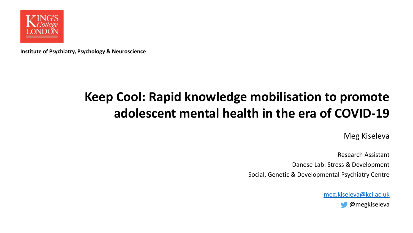

**Institute of Psychiatry, Psychology & Neuroscience**

#### **Keep Cool: Rapid knowledge mobilisation to promote adolescent mental health in the era of COVID-19**

Meg Kiseleva

Research Assistant Danese Lab: Stress & Development Social, Genetic & Developmental Psychiatry Centre

> [meg.kiseleva@kcl.ac.uk](mailto:meg.kiseleva@kcl.ac.uk) @megkiseleva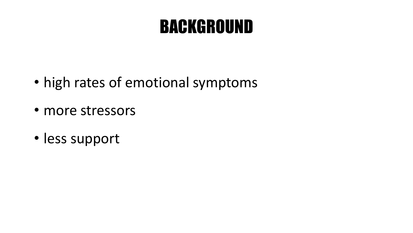# BACKGROUND

- high rates of emotional symptoms
- more stressors
- less support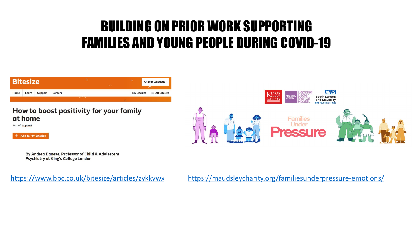### BUILDING ON PRIOR WORK SUPPORTING FAMILIES AND YOUNG PEOPLE DURING COVID-19



#### How to boost positivity for your family at home

Part of **Support** 





By Andrea Danese, Professor of Child & Adolescent **Psychiatry at King's College London** 

<https://www.bbc.co.uk/bitesize/articles/zykkvwx> <https://maudsleycharity.org/familiesunderpressure-emotions/>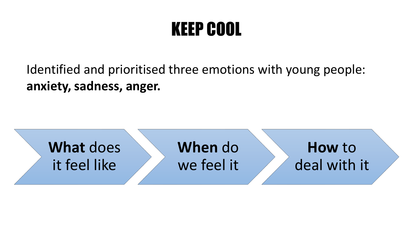# KEEP COOL

Identified and prioritised three emotions with young people: **anxiety, sadness, anger.**

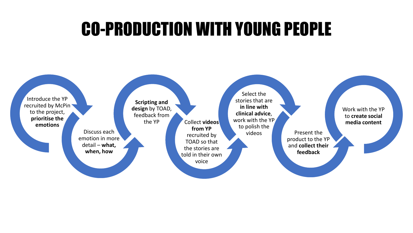# CO-PRODUCTION WITH YOUNG PEOPLE

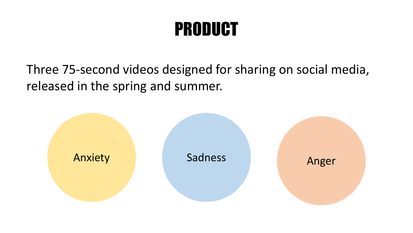# PRODUCT

Three 75-second videos designed for sharing on social media, released in the spring and summer.

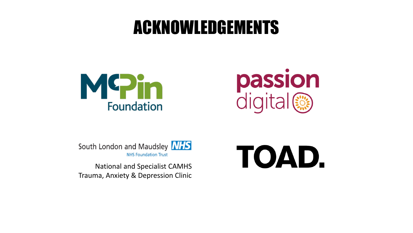# ACKNOWLEDGEMENTS





TOAD.

South London and Maudsley **NHS NHS Foundation Trust** 

National and Specialist CAMHS Trauma, Anxiety & Depression Clinic